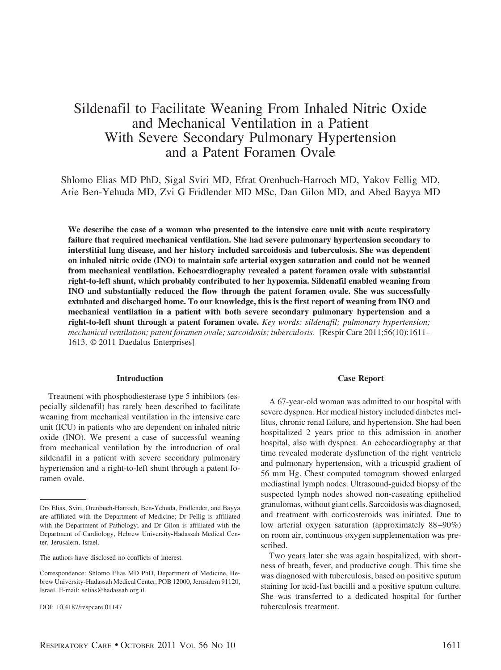# Sildenafil to Facilitate Weaning From Inhaled Nitric Oxide and Mechanical Ventilation in a Patient With Severe Secondary Pulmonary Hypertension and a Patent Foramen Ovale

Shlomo Elias MD PhD, Sigal Sviri MD, Efrat Orenbuch-Harroch MD, Yakov Fellig MD, Arie Ben-Yehuda MD, Zvi G Fridlender MD MSc, Dan Gilon MD, and Abed Bayya MD

**We describe the case of a woman who presented to the intensive care unit with acute respiratory failure that required mechanical ventilation. She had severe pulmonary hypertension secondary to interstitial lung disease, and her history included sarcoidosis and tuberculosis. She was dependent on inhaled nitric oxide (INO) to maintain safe arterial oxygen saturation and could not be weaned from mechanical ventilation. Echocardiography revealed a patent foramen ovale with substantial right-to-left shunt, which probably contributed to her hypoxemia. Sildenafil enabled weaning from INO and substantially reduced the flow through the patent foramen ovale. She was successfully extubated and discharged home. To our knowledge, this is the first report of weaning from INO and mechanical ventilation in a patient with both severe secondary pulmonary hypertension and a right-to-left shunt through a patent foramen ovale.** *Key words: sildenafil; pulmonary hypertension; mechanical ventilation; patent foramen ovale; sarcoidosis; tuberculosis*. [Respir Care 2011;56(10):1611– 1613. © 2011 Daedalus Enterprises]

# **Introduction**

Treatment with phosphodiesterase type 5 inhibitors (especially sildenafil) has rarely been described to facilitate weaning from mechanical ventilation in the intensive care unit (ICU) in patients who are dependent on inhaled nitric oxide (INO). We present a case of successful weaning from mechanical ventilation by the introduction of oral sildenafil in a patient with severe secondary pulmonary hypertension and a right-to-left shunt through a patent foramen ovale.

#### **Case Report**

A 67-year-old woman was admitted to our hospital with severe dyspnea. Her medical history included diabetes mellitus, chronic renal failure, and hypertension. She had been hospitalized 2 years prior to this admission in another hospital, also with dyspnea. An echocardiography at that time revealed moderate dysfunction of the right ventricle and pulmonary hypertension, with a tricuspid gradient of 56 mm Hg. Chest computed tomogram showed enlarged mediastinal lymph nodes. Ultrasound-guided biopsy of the suspected lymph nodes showed non-caseating epitheliod granulomas, without giant cells. Sarcoidosis was diagnosed, and treatment with corticosteroids was initiated. Due to low arterial oxygen saturation (approximately 88 –90%) on room air, continuous oxygen supplementation was prescribed.

Two years later she was again hospitalized, with shortness of breath, fever, and productive cough. This time she was diagnosed with tuberculosis, based on positive sputum staining for acid-fast bacilli and a positive sputum culture. She was transferred to a dedicated hospital for further tuberculosis treatment.

Drs Elias, Sviri, Orenbuch-Harroch, Ben-Yehuda, Fridlender, and Bayya are affiliated with the Department of Medicine; Dr Fellig is affiliated with the Department of Pathology; and Dr Gilon is affiliated with the Department of Cardiology, Hebrew University-Hadassah Medical Center, Jerusalem, Israel.

The authors have disclosed no conflicts of interest.

Correspondence: Shlomo Elias MD PhD, Department of Medicine, Hebrew University-Hadassah Medical Center, POB 12000, Jerusalem 91120, Israel. E-mail: selias@hadassah.org.il.

DOI: 10.4187/respcare.01147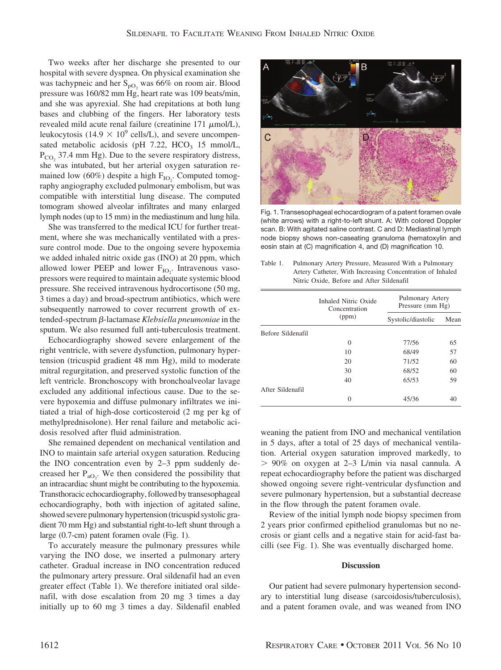Two weeks after her discharge she presented to our hospital with severe dyspnea. On physical examination she was tachypneic and her  $S_{pO_2}$  was 66% on room air. Blood pressure was 160/82 mm Hg, heart rate was 109 beats/min, and she was apyrexial. She had crepitations at both lung bases and clubbing of the fingers. Her laboratory tests revealed mild acute renal failure (creatinine  $171 \mu$ mol/L), leukocytosis (14.9  $\times$  10<sup>9</sup> cells/L), and severe uncompensated metabolic acidosis (pH  $7.22$ , HCO<sub>3</sub> 15 mmol/L,  $P_{CO_2}$  37.4 mm Hg). Due to the severe respiratory distress, she was intubated, but her arterial oxygen saturation remained low (60%) despite a high  $F_{IO_2}$ . Computed tomography angiography excluded pulmonary embolism, but was compatible with interstitial lung disease. The computed tomogram showed alveolar infiltrates and many enlarged lymph nodes (up to 15 mm) in the mediastinum and lung hila.

She was transferred to the medical ICU for further treatment, where she was mechanically ventilated with a pressure control mode. Due to the ongoing severe hypoxemia we added inhaled nitric oxide gas (INO) at 20 ppm, which allowed lower PEEP and lower  $F_{IO_2}$ . Intravenous vasopressors were required to maintain adequate systemic blood pressure. She received intravenous hydrocortisone (50 mg, 3 times a day) and broad-spectrum antibiotics, which were subsequently narrowed to cover recurrent growth of extended-spectrum  $\beta$ -lactamase *Klebsiella pneumoniae* in the sputum. We also resumed full anti-tuberculosis treatment.

Echocardiography showed severe enlargement of the right ventricle, with severe dysfunction, pulmonary hypertension (tricuspid gradient 48 mm Hg), mild to moderate mitral regurgitation, and preserved systolic function of the left ventricle. Bronchoscopy with bronchoalveolar lavage excluded any additional infectious cause. Due to the severe hypoxemia and diffuse pulmonary infiltrates we initiated a trial of high-dose corticosteroid (2 mg per kg of methylprednisolone). Her renal failure and metabolic acidosis resolved after fluid administration.

She remained dependent on mechanical ventilation and INO to maintain safe arterial oxygen saturation. Reducing the INO concentration even by 2–3 ppm suddenly decreased her  $P_{aO_2}$ . We then considered the possibility that an intracardiac shunt might be contributing to the hypoxemia. Transthoracic echocardiography, followed by transesophageal echocardiography, both with injection of agitated saline, showed severe pulmonary hypertension (tricuspid systolic gradient 70 mm Hg) and substantial right-to-left shunt through a large (0.7-cm) patent foramen ovale (Fig. 1).

To accurately measure the pulmonary pressures while varying the INO dose, we inserted a pulmonary artery catheter. Gradual increase in INO concentration reduced the pulmonary artery pressure. Oral sildenafil had an even greater effect (Table 1). We therefore initiated oral sildenafil, with dose escalation from 20 mg 3 times a day initially up to 60 mg 3 times a day. Sildenafil enabled



Fig. 1. Transesophageal echocardiogram of a patent foramen ovale (white arrows) with a right-to-left shunt. A: With colored Doppler scan. B: With agitated saline contrast. C and D: Mediastinal lymph node biopsy shows non-caseating granuloma (hematoxylin and eosin stain at (C) magnification 4, and (D) magnification 10.

| Table 1. | Pulmonary Artery Pressure, Measured With a Pulmonary      |
|----------|-----------------------------------------------------------|
|          | Artery Catheter, With Increasing Concentration of Inhaled |
|          | Nitric Oxide, Before and After Sildenafil                 |

|                   | Inhaled Nitric Oxide<br>Concentration<br>(ppm) | Pulmonary Artery<br>Pressure (mm Hg) |      |
|-------------------|------------------------------------------------|--------------------------------------|------|
|                   |                                                | Systolic/diastolic                   | Mean |
| Before Sildenafil |                                                |                                      |      |
|                   | 0                                              | 77/56                                | 65   |
|                   | 10                                             | 68/49                                | 57   |
|                   | 20                                             | 71/52                                | 60   |
|                   | 30                                             | 68/52                                | 60   |
|                   | 40                                             | 65/53                                | 59   |
| After Sildenafil  |                                                |                                      |      |
|                   | 0                                              | 45/36                                |      |

weaning the patient from INO and mechanical ventilation in 5 days, after a total of 25 days of mechanical ventilation. Arterial oxygen saturation improved markedly, to - 90% on oxygen at 2–3 L/min via nasal cannula. A repeat echocardiography before the patient was discharged showed ongoing severe right-ventricular dysfunction and severe pulmonary hypertension, but a substantial decrease in the flow through the patent foramen ovale.

Review of the initial lymph node biopsy specimen from 2 years prior confirmed epitheliod granulomas but no necrosis or giant cells and a negative stain for acid-fast bacilli (see Fig. 1). She was eventually discharged home.

## **Discussion**

Our patient had severe pulmonary hypertension secondary to interstitial lung disease (sarcoidosis/tuberculosis), and a patent foramen ovale, and was weaned from INO